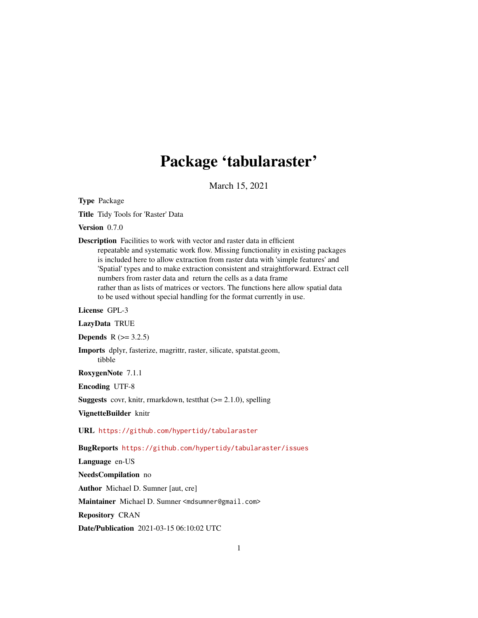# Package 'tabularaster'

March 15, 2021

<span id="page-0-0"></span>Type Package

Title Tidy Tools for 'Raster' Data

Version 0.7.0

Description Facilities to work with vector and raster data in efficient repeatable and systematic work flow. Missing functionality in existing packages is included here to allow extraction from raster data with 'simple features' and 'Spatial' types and to make extraction consistent and straightforward. Extract cell numbers from raster data and return the cells as a data frame rather than as lists of matrices or vectors. The functions here allow spatial data to be used without special handling for the format currently in use.

License GPL-3

LazyData TRUE

**Depends**  $R$  ( $> = 3.2.5$ )

Imports dplyr, fasterize, magrittr, raster, silicate, spatstat.geom, tibble

RoxygenNote 7.1.1

Encoding UTF-8

**Suggests** covr, knitr, rmarkdown, test that  $(>= 2.1.0)$ , spelling

VignetteBuilder knitr

URL <https://github.com/hypertidy/tabularaster>

BugReports <https://github.com/hypertidy/tabularaster/issues>

Language en-US

NeedsCompilation no

Author Michael D. Sumner [aut, cre]

Maintainer Michael D. Sumner <mdsumner@gmail.com>

Repository CRAN

Date/Publication 2021-03-15 06:10:02 UTC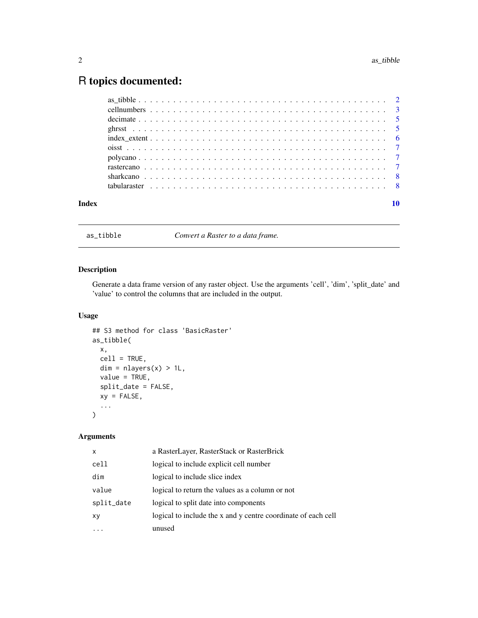# <span id="page-1-0"></span>R topics documented:

| Index |  |
|-------|--|
|       |  |
|       |  |
|       |  |
|       |  |
|       |  |
|       |  |
|       |  |
|       |  |
|       |  |
|       |  |

<span id="page-1-1"></span>as\_tibble *Convert a Raster to a data frame.*

# Description

Generate a data frame version of any raster object. Use the arguments 'cell', 'dim', 'split\_date' and 'value' to control the columns that are included in the output.

# Usage

```
## S3 method for class 'BasicRaster'
as_tibble(
  x,
 cell = TRUE,dim = nlayers(x) > 1L,value = TRUE,split_date = FALSE,
 xy = FALSE,...
\mathcal{L}
```
# Arguments

| $\mathsf{x}$ | a RasterLayer, RasterStack or RasterBrick                     |
|--------------|---------------------------------------------------------------|
| cell         | logical to include explicit cell number                       |
| dim          | logical to include slice index                                |
| value        | logical to return the values as a column or not               |
| split_date   | logical to split date into components                         |
| XV           | logical to include the x and y centre coordinate of each cell |
|              | unused                                                        |
|              |                                                               |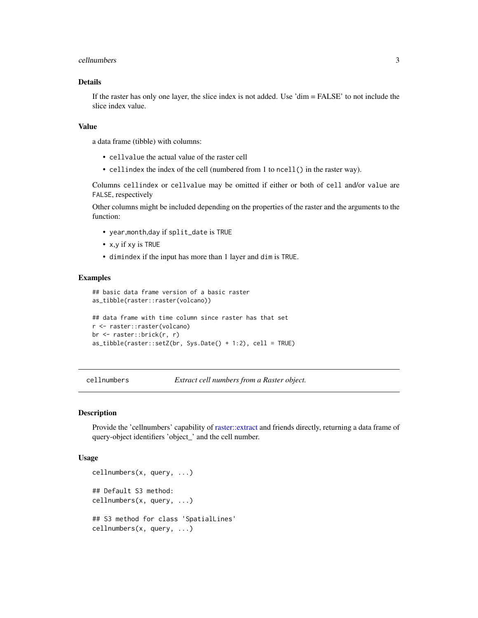#### <span id="page-2-0"></span>cellnumbers 3

# Details

If the raster has only one layer, the slice index is not added. Use 'dim = FALSE' to not include the slice index value.

#### Value

a data frame (tibble) with columns:

- cellvalue the actual value of the raster cell
- cellindex the index of the cell (numbered from 1 to ncell() in the raster way).

Columns cellindex or cellvalue may be omitted if either or both of cell and/or value are FALSE, respectively

Other columns might be included depending on the properties of the raster and the arguments to the function:

- year,month,day if split\_date is TRUE
- x,y if xy is TRUE
- dimindex if the input has more than 1 layer and dim is TRUE.

#### Examples

```
## basic data frame version of a basic raster
as_tibble(raster::raster(volcano))
## data frame with time column since raster has that set
r <- raster::raster(volcano)
br <- raster::brick(r, r)
as_tibble(raster::setZ(br, Sys.Date() + 1:2), cell = TRUE)
```
<span id="page-2-1"></span>cellnumbers *Extract cell numbers from a Raster object.*

#### Description

Provide the 'cellnumbers' capability of [raster::extract](#page-0-0) and friends directly, returning a data frame of query-object identifiers 'object\_' and the cell number.

#### Usage

```
cellnumbers(x, query, ...)
## Default S3 method:
cellnumbers(x, query, ...)
## S3 method for class 'SpatialLines'
cellnumbers(x, query, ...)
```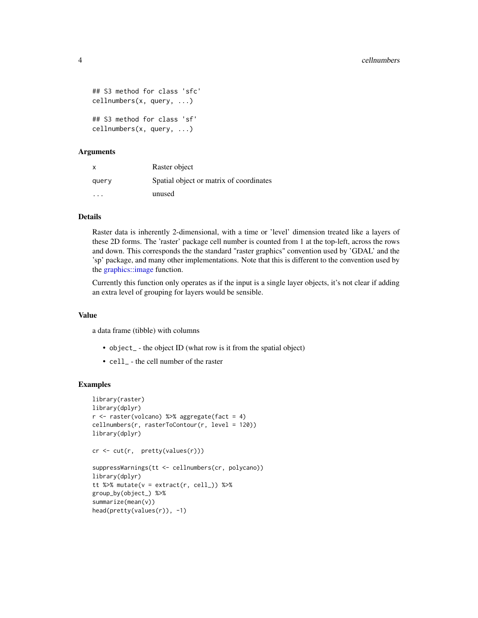```
## S3 method for class 'sfc'
cellnumbers(x, query, ...)
## S3 method for class 'sf'
cellnumbers(x, query, ...)
```
#### Arguments

| $\mathsf{x}$ | Raster object                           |
|--------------|-----------------------------------------|
| query        | Spatial object or matrix of coordinates |
| .            | unused                                  |

# **Details**

Raster data is inherently 2-dimensional, with a time or 'level' dimension treated like a layers of these 2D forms. The 'raster' package cell number is counted from 1 at the top-left, across the rows and down. This corresponds the the standard "raster graphics" convention used by 'GDAL' and the 'sp' package, and many other implementations. Note that this is different to the convention used by the [graphics::image](#page-0-0) function.

Currently this function only operates as if the input is a single layer objects, it's not clear if adding an extra level of grouping for layers would be sensible.

#### Value

a data frame (tibble) with columns

- object<sub>-</sub> the object ID (what row is it from the spatial object)
- cell\_ the cell number of the raster

#### Examples

```
library(raster)
library(dplyr)
r <- raster(volcano) %>% aggregate(fact = 4)
cellnumbers(r, rasterToContour(r, level = 120))
library(dplyr)
cr <- cut(r, pretty(values(r)))
suppressWarnings(tt <- cellnumbers(cr, polycano))
library(dplyr)
tt %>% mutate(v = extract(r, cell_)) %>%
group_by(object_) %>%
summarize(mean(v))
head(pretty(values(r)), -1)
```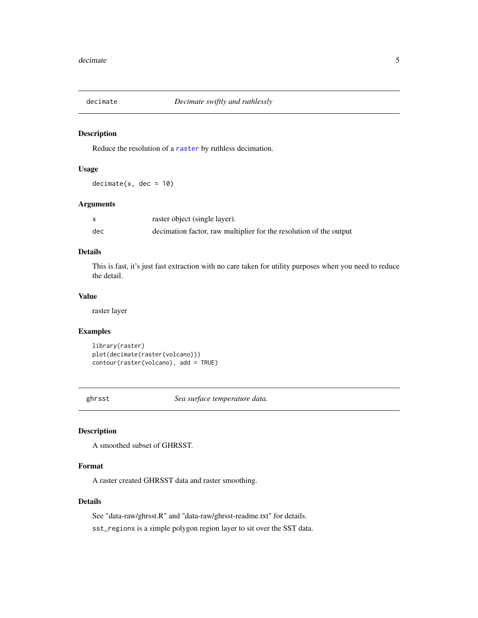<span id="page-4-1"></span><span id="page-4-0"></span>

# Description

Reduce the resolution of a [raster](#page-0-0) by ruthless decimation.

#### Usage

 $decimate(x, dec = 10)$ 

# Arguments

|     | raster object (single layer).                                      |
|-----|--------------------------------------------------------------------|
| dec | decimation factor, raw multiplier for the resolution of the output |

# Details

This is fast, it's just fast extraction with no care taken for utility purposes when you need to reduce the detail.

#### Value

raster layer

#### Examples

```
library(raster)
plot(decimate(raster(volcano)))
contour(raster(volcano), add = TRUE)
```
ghrsst *Sea surface temperature data.*

# Description

A smoothed subset of GHRSST.

# Format

A raster created GHRSST data and raster smoothing.

# Details

See "data-raw/ghrsst.R" and "data-raw/ghrsst-readme.txt" for details.

sst\_regions is a simple polygon region layer to sit over the SST data.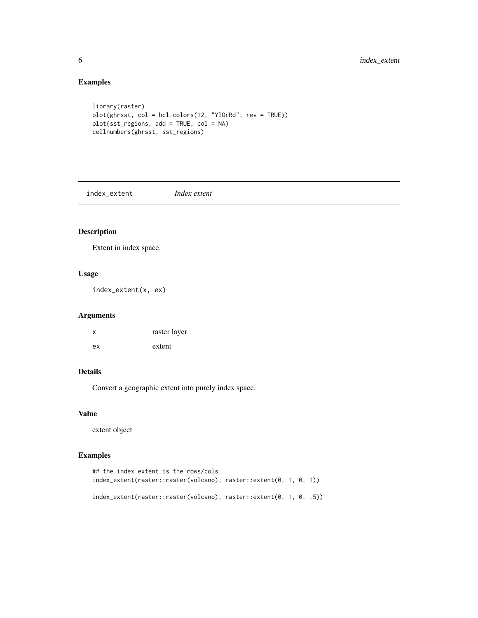# Examples

```
library(raster)
plot(ghrsst, col = hcl.colors(12, "YlOrRd", rev = TRUE))
plot(sst_regions, add = TRUE, col = NA)
cellnumbers(ghrsst, sst_regions)
```
<span id="page-5-1"></span>index\_extent *Index extent*

# Description

Extent in index space.

# Usage

index\_extent(x, ex)

# Arguments

| X  | raster layer |
|----|--------------|
| ex | extent       |

# Details

Convert a geographic extent into purely index space.

#### Value

extent object

# Examples

```
## the index extent is the rows/cols
index_extent(raster::raster(volcano), raster::extent(0, 1, 0, 1))
index_extent(raster::raster(volcano), raster::extent(0, 1, 0, .5))
```
<span id="page-5-0"></span>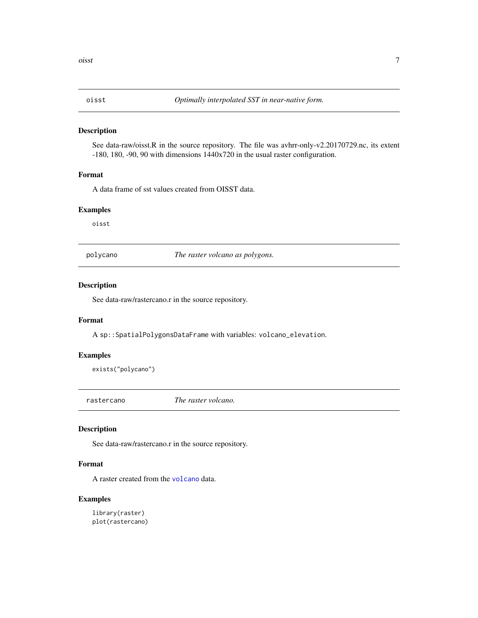<span id="page-6-0"></span>

#### Description

See data-raw/oisst.R in the source repository. The file was avhrr-only-v2.20170729.nc, its extent -180, 180, -90, 90 with dimensions 1440x720 in the usual raster configuration.

#### Format

A data frame of sst values created from OISST data.

#### Examples

oisst

polycano *The raster volcano as polygons.*

## Description

See data-raw/rastercano.r in the source repository.

# Format

A sp::SpatialPolygonsDataFrame with variables: volcano\_elevation.

#### Examples

exists("polycano")

rastercano *The raster volcano.*

# Description

See data-raw/rastercano.r in the source repository.

# Format

A raster created from the [volcano](#page-0-0) data.

# Examples

library(raster) plot(rastercano)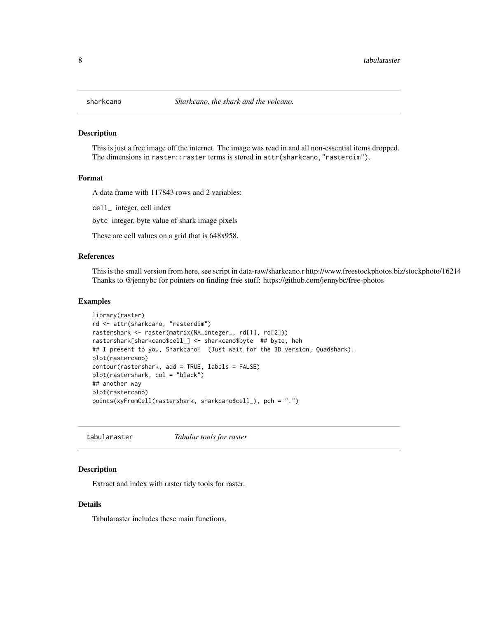<span id="page-7-0"></span>

#### Description

This is just a free image off the internet. The image was read in and all non-essential items dropped. The dimensions in raster::raster terms is stored in attr(sharkcano,"rasterdim").

#### Format

A data frame with 117843 rows and 2 variables:

cell\_ integer, cell index

byte integer, byte value of shark image pixels

These are cell values on a grid that is 648x958.

# References

This is the small version from here, see script in data-raw/sharkcano.r http://www.freestockphotos.biz/stockphoto/16214 Thanks to @jennybc for pointers on finding free stuff: https://github.com/jennybc/free-photos

# **Examples**

```
library(raster)
rd <- attr(sharkcano, "rasterdim")
rastershark <- raster(matrix(NA_integer_, rd[1], rd[2]))
rastershark[sharkcano$cell_] <- sharkcano$byte ## byte, heh
## I present to you, Sharkcano! (Just wait for the 3D version, Quadshark).
plot(rastercano)
contour(rastershark, add = TRUE, labels = FALSE)
plot(rastershark, col = "black")
## another way
plot(rastercano)
points(xyFromCell(rastershark, sharkcano$cell_), pch = ".")
```
tabularaster *Tabular tools for raster*

#### **Description**

Extract and index with raster tidy tools for raster.

#### Details

Tabularaster includes these main functions.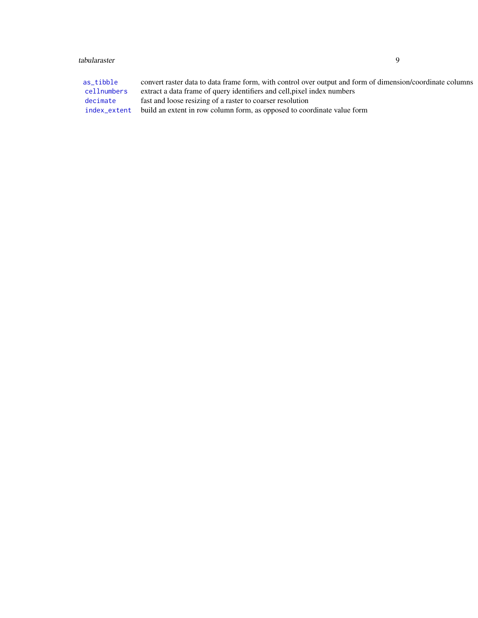# <span id="page-8-0"></span>tabularaster 9

| as tibble    | convert raster data to data frame form, with control over output and form of dimension/coordinate columns |
|--------------|-----------------------------------------------------------------------------------------------------------|
| cellnumbers  | extract a data frame of query identifiers and cell, pixel index numbers                                   |
| decimate     | fast and loose resizing of a raster to coarser resolution                                                 |
| index_extent | build an extent in row column form, as opposed to coordinate value form                                   |
|              |                                                                                                           |